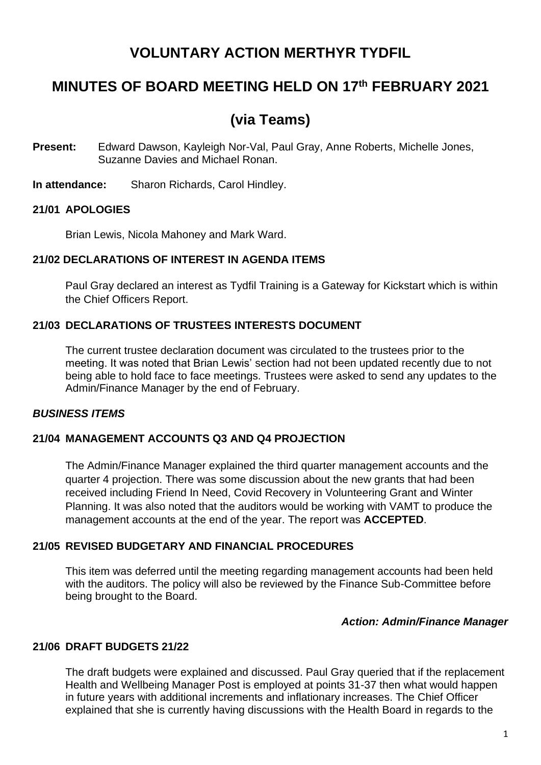# **VOLUNTARY ACTION MERTHYR TYDFIL**

# **MINUTES OF BOARD MEETING HELD ON 17th FEBRUARY 2021**

# **(via Teams)**

- **Present:** Edward Dawson, Kayleigh Nor-Val, Paul Gray, Anne Roberts, Michelle Jones, Suzanne Davies and Michael Ronan.
- **In attendance:** Sharon Richards, Carol Hindley.

### **21/01 APOLOGIES**

Brian Lewis, Nicola Mahoney and Mark Ward.

### **21/02 DECLARATIONS OF INTEREST IN AGENDA ITEMS**

Paul Gray declared an interest as Tydfil Training is a Gateway for Kickstart which is within the Chief Officers Report.

### **21/03 DECLARATIONS OF TRUSTEES INTERESTS DOCUMENT**

The current trustee declaration document was circulated to the trustees prior to the meeting. It was noted that Brian Lewis' section had not been updated recently due to not being able to hold face to face meetings. Trustees were asked to send any updates to the Admin/Finance Manager by the end of February.

#### *BUSINESS ITEMS*

## **21/04 MANAGEMENT ACCOUNTS Q3 AND Q4 PROJECTION**

The Admin/Finance Manager explained the third quarter management accounts and the quarter 4 projection. There was some discussion about the new grants that had been received including Friend In Need, Covid Recovery in Volunteering Grant and Winter Planning. It was also noted that the auditors would be working with VAMT to produce the management accounts at the end of the year. The report was **ACCEPTED**.

#### **21/05 REVISED BUDGETARY AND FINANCIAL PROCEDURES**

This item was deferred until the meeting regarding management accounts had been held with the auditors. The policy will also be reviewed by the Finance Sub-Committee before being brought to the Board.

#### *Action: Admin/Finance Manager*

#### **21/06 DRAFT BUDGETS 21/22**

The draft budgets were explained and discussed. Paul Gray queried that if the replacement Health and Wellbeing Manager Post is employed at points 31-37 then what would happen in future years with additional increments and inflationary increases. The Chief Officer explained that she is currently having discussions with the Health Board in regards to the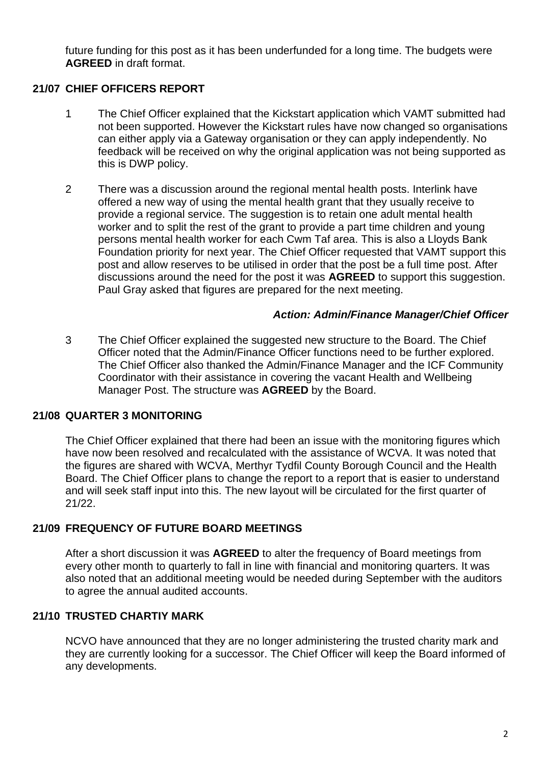future funding for this post as it has been underfunded for a long time. The budgets were **AGREED** in draft format.

# **21/07 CHIEF OFFICERS REPORT**

- 1 The Chief Officer explained that the Kickstart application which VAMT submitted had not been supported. However the Kickstart rules have now changed so organisations can either apply via a Gateway organisation or they can apply independently. No feedback will be received on why the original application was not being supported as this is DWP policy.
- 2 There was a discussion around the regional mental health posts. Interlink have offered a new way of using the mental health grant that they usually receive to provide a regional service. The suggestion is to retain one adult mental health worker and to split the rest of the grant to provide a part time children and young persons mental health worker for each Cwm Taf area. This is also a Lloyds Bank Foundation priority for next year. The Chief Officer requested that VAMT support this post and allow reserves to be utilised in order that the post be a full time post. After discussions around the need for the post it was **AGREED** to support this suggestion. Paul Gray asked that figures are prepared for the next meeting.

#### *Action: Admin/Finance Manager/Chief Officer*

3 The Chief Officer explained the suggested new structure to the Board. The Chief Officer noted that the Admin/Finance Officer functions need to be further explored. The Chief Officer also thanked the Admin/Finance Manager and the ICF Community Coordinator with their assistance in covering the vacant Health and Wellbeing Manager Post. The structure was **AGREED** by the Board.

### **21/08 QUARTER 3 MONITORING**

The Chief Officer explained that there had been an issue with the monitoring figures which have now been resolved and recalculated with the assistance of WCVA. It was noted that the figures are shared with WCVA, Merthyr Tydfil County Borough Council and the Health Board. The Chief Officer plans to change the report to a report that is easier to understand and will seek staff input into this. The new layout will be circulated for the first quarter of 21/22.

### **21/09 FREQUENCY OF FUTURE BOARD MEETINGS**

After a short discussion it was **AGREED** to alter the frequency of Board meetings from every other month to quarterly to fall in line with financial and monitoring quarters. It was also noted that an additional meeting would be needed during September with the auditors to agree the annual audited accounts.

## **21/10 TRUSTED CHARTIY MARK**

NCVO have announced that they are no longer administering the trusted charity mark and they are currently looking for a successor. The Chief Officer will keep the Board informed of any developments.